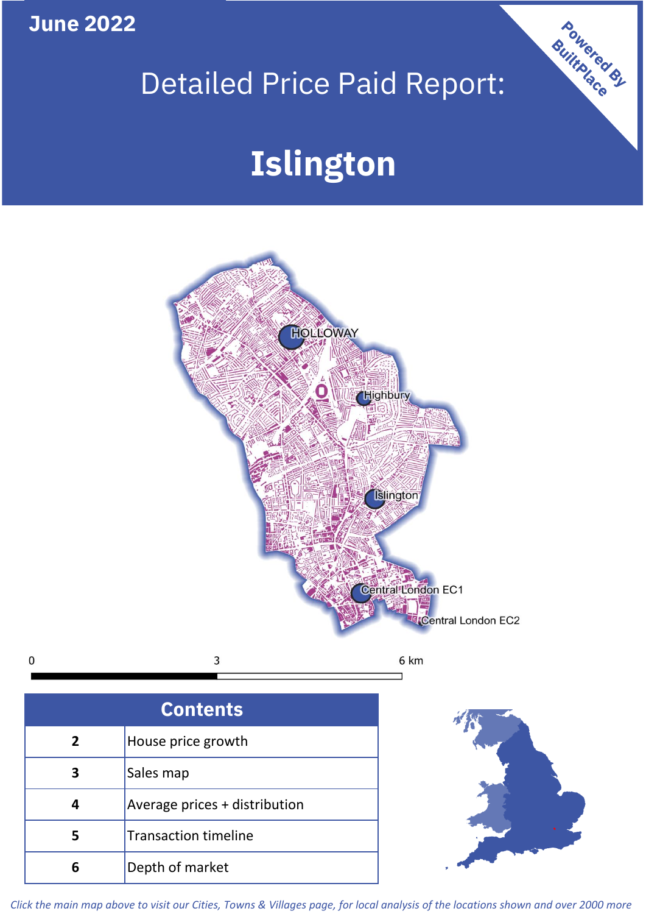**June 2022**

 $\mathbf 0$ 

## Detailed Price Paid Report:

# **Islington**



| <b>Contents</b> |                               |  |  |
|-----------------|-------------------------------|--|--|
| $\overline{2}$  | House price growth            |  |  |
|                 | Sales map                     |  |  |
|                 | Average prices + distribution |  |  |
| 5               | <b>Transaction timeline</b>   |  |  |
|                 | Depth of market               |  |  |



Powered By

*Click the main map above to visit our Cities, Towns & Villages page, for local analysis of the locations shown and over 2000 more*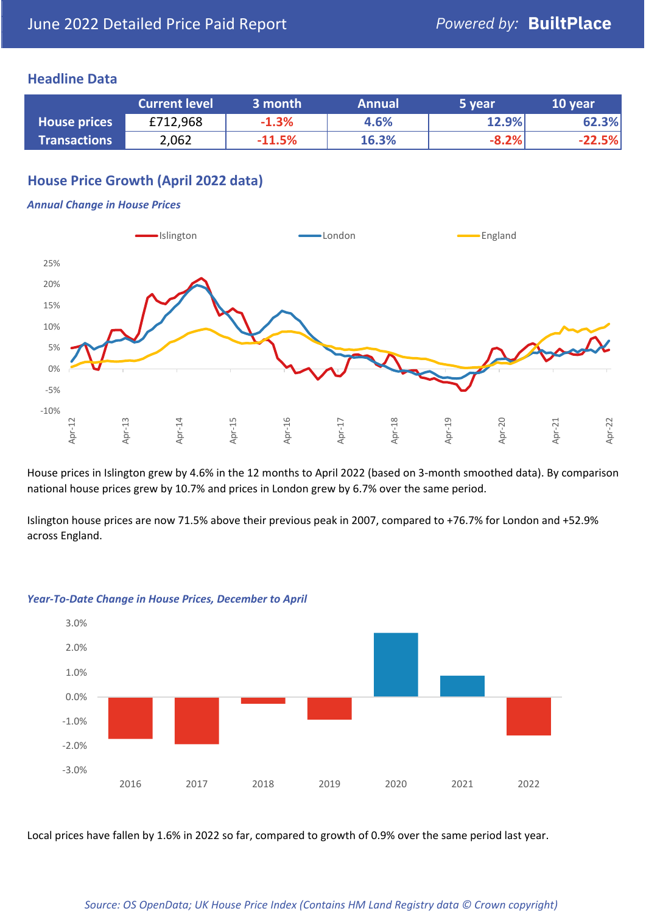#### **Headline Data**

|                     | <b>Current level</b> | 3 month  | <b>Annual</b> | 5 year  | 10 year  |
|---------------------|----------------------|----------|---------------|---------|----------|
| <b>House prices</b> | £712,968             | $-1.3%$  | 4.6%          | 12.9%   | 62.3%    |
| <b>Transactions</b> | 2,062                | $-11.5%$ | 16.3%         | $-8.2%$ | $-22.5%$ |

## **House Price Growth (April 2022 data)**

#### *Annual Change in House Prices*



House prices in Islington grew by 4.6% in the 12 months to April 2022 (based on 3-month smoothed data). By comparison national house prices grew by 10.7% and prices in London grew by 6.7% over the same period.

Islington house prices are now 71.5% above their previous peak in 2007, compared to +76.7% for London and +52.9% across England.



#### *Year-To-Date Change in House Prices, December to April*

Local prices have fallen by 1.6% in 2022 so far, compared to growth of 0.9% over the same period last year.

#### *Source: OS OpenData; UK House Price Index (Contains HM Land Registry data © Crown copyright)*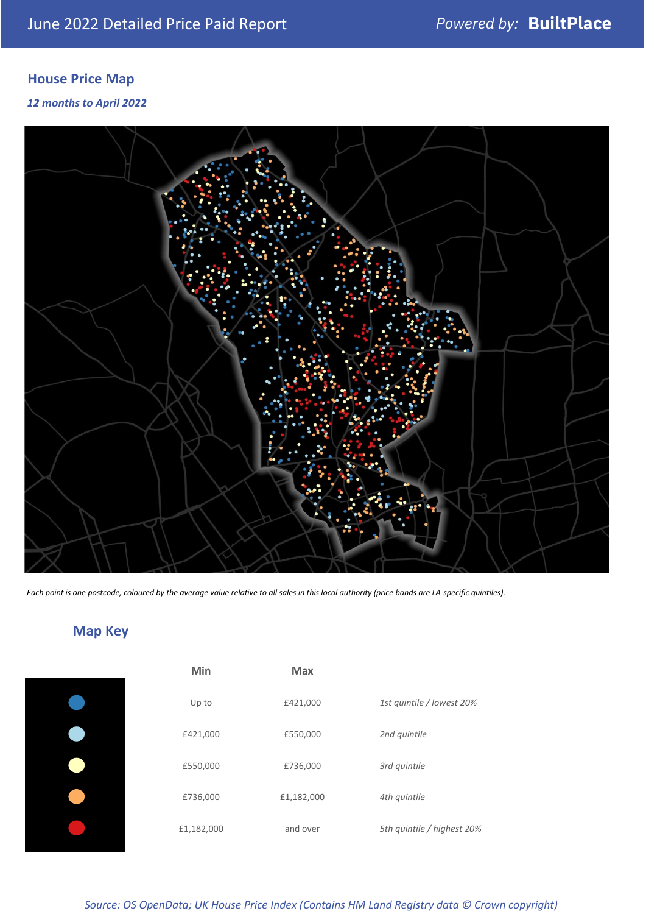## **House Price Map**

*12 months to April 2022*



*Each point is one postcode, coloured by the average value relative to all sales in this local authority (price bands are LA-specific quintiles).*

## **Map Key**

| Min        | <b>Max</b> |                            |
|------------|------------|----------------------------|
| Up to      | £421,000   | 1st quintile / lowest 20%  |
| £421,000   | £550,000   | 2nd quintile               |
| £550,000   | £736,000   | 3rd quintile               |
| £736,000   | £1,182,000 | 4th quintile               |
| £1,182,000 | and over   | 5th quintile / highest 20% |

*Source: OS OpenData; UK House Price Index (Contains HM Land Registry data © Crown copyright)*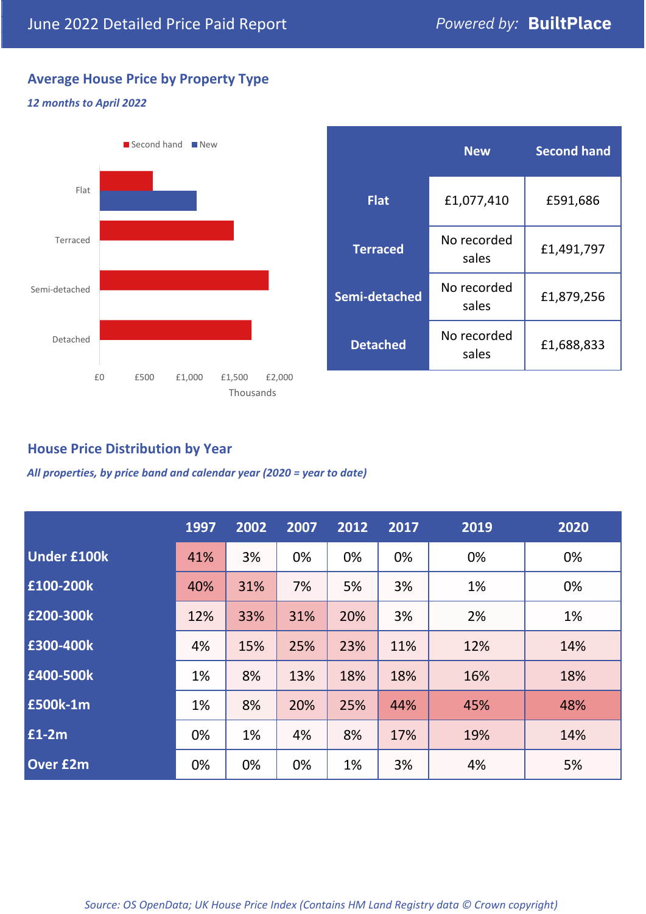## **Average House Price by Property Type**

#### *12 months to April 2022*



|                 | <b>New</b>           | <b>Second hand</b> |  |  |
|-----------------|----------------------|--------------------|--|--|
| <b>Flat</b>     | £1,077,410           | £591,686           |  |  |
| <b>Terraced</b> | No recorded<br>sales | £1,491,797         |  |  |
| Semi-detached   | No recorded<br>sales | £1,879,256         |  |  |
| <b>Detached</b> | No recorded<br>sales | £1,688,833         |  |  |

## **House Price Distribution by Year**

*All properties, by price band and calendar year (2020 = year to date)*

|                    | 1997 | 2002 | 2007 | 2012 | 2017 | 2019 | 2020 |
|--------------------|------|------|------|------|------|------|------|
| <b>Under £100k</b> | 41%  | 3%   | 0%   | 0%   | 0%   | 0%   | 0%   |
| £100-200k          | 40%  | 31%  | 7%   | 5%   | 3%   | 1%   | 0%   |
| E200-300k          | 12%  | 33%  | 31%  | 20%  | 3%   | 2%   | 1%   |
| £300-400k          | 4%   | 15%  | 25%  | 23%  | 11%  | 12%  | 14%  |
| £400-500k          | 1%   | 8%   | 13%  | 18%  | 18%  | 16%  | 18%  |
| <b>£500k-1m</b>    | 1%   | 8%   | 20%  | 25%  | 44%  | 45%  | 48%  |
| £1-2m              | 0%   | 1%   | 4%   | 8%   | 17%  | 19%  | 14%  |
| <b>Over £2m</b>    | 0%   | 0%   | 0%   | 1%   | 3%   | 4%   | 5%   |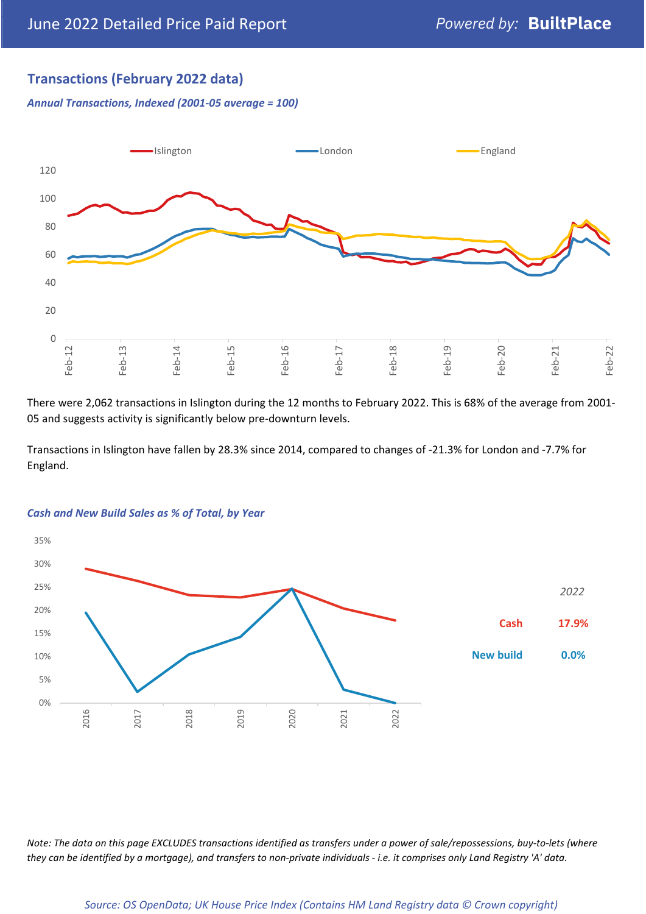### **Transactions (February 2022 data)**

*Annual Transactions, Indexed (2001-05 average = 100)*



There were 2,062 transactions in Islington during the 12 months to February 2022. This is 68% of the average from 2001- 05 and suggests activity is significantly below pre-downturn levels.

Transactions in Islington have fallen by 28.3% since 2014, compared to changes of -21.3% for London and -7.7% for England.



#### *Cash and New Build Sales as % of Total, by Year*

*Note: The data on this page EXCLUDES transactions identified as transfers under a power of sale/repossessions, buy-to-lets (where they can be identified by a mortgage), and transfers to non-private individuals - i.e. it comprises only Land Registry 'A' data.*